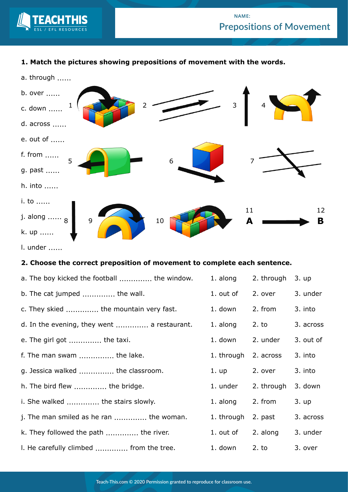

## **NAME: Prepositions of Movement**

## **1. Match the pictures showing prepositions of movement with the words.**